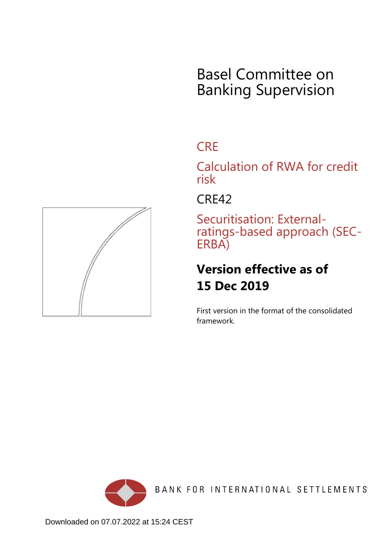# Basel Committee on Banking Supervision

## **CRE**

Calculation of RWA for credit risk

CRE42

Securitisation: Externalratings-based approach (SEC-ERBA)

## **Version effective as of 15 Dec 2019**

First version in the format of the consolidated framework.



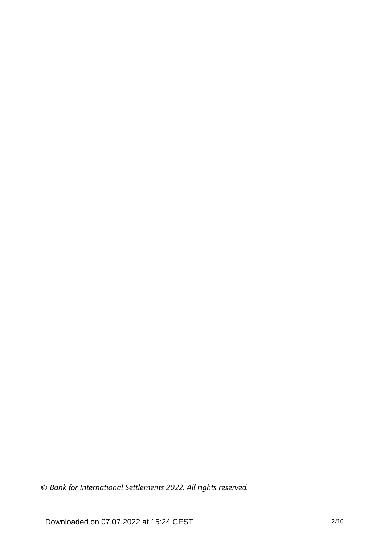*© Bank for International Settlements 2022. All rights reserved.*

Downloaded on 07.07.2022 at 15:24 CEST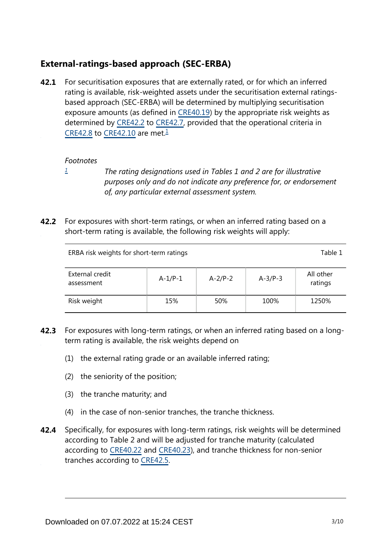## **External-ratings-based approach (SEC-ERBA)**

<span id="page-2-1"></span>For securitisation exposures that are externally rated, or for which an inferred rating is available, risk-weighted assets under the securitisation external ratingsbased approach (SEC-ERBA) will be determined by multiplying securitisation exposure amounts (as defined in [CRE40.19\)](https://www.bis.org/basel_framework/chapter/CRE/40.htm?tldate=20230101&inforce=20230101&published=20201126#paragraph_CRE_40_20230101_40_19) by the appropriate risk weights as determined by [CRE42.2](https://www.bis.org/basel_framework/chapter/CRE/42.htm?tldate=20230101&inforce=20191215&published=20191215#paragraph_CRE_42_20191215_42_2) to [CRE42.7,](https://www.bis.org/basel_framework/chapter/CRE/42.htm?tldate=20230101&inforce=20191215&published=20191215#paragraph_CRE_42_20191215_42_7) provided that the operational criteria in [CRE42.8](https://www.bis.org/basel_framework/chapter/CRE/42.htm?tldate=20230101&inforce=20191215&published=20191215#paragraph_CRE_42_20191215_42_8) to [CRE42.10](https://www.bis.org/basel_framework/chapter/CRE/42.htm?tldate=20230101&inforce=20191215&published=20191215#paragraph_CRE_42_20191215_42_10) are met. $\frac{1}{2}$  $\frac{1}{2}$  $\frac{1}{2}$ **42.1**

#### *Footnotes*

- <span id="page-2-0"></span>*[1](#page-2-1)*
- 

*The rating designations used in Tables 1 and 2 are for illustrative purposes only and do not indicate any preference for, or endorsement of, any particular external assessment system.*

**42.2** For exposures with short-term ratings, or when an inferred rating based on a short-term rating is available, the following risk weights will apply:

| ERBA risk weights for short-term ratings |           |           |           | Table 1              |
|------------------------------------------|-----------|-----------|-----------|----------------------|
| External credit<br>assessment            | $A-1/P-1$ | $A-2/P-2$ | $A-3/P-3$ | All other<br>ratings |
| Risk weight                              | 15%       | 50%       | 100%      | 1250%                |

- **42.3** For exposures with long-term ratings, or when an inferred rating based on a longterm rating is available, the risk weights depend on
	- (1) the external rating grade or an available inferred rating;
	- (2) the seniority of the position;
	- (3) the tranche maturity; and
	- (4) in the case of non-senior tranches, the tranche thickness.
- Specifically, for exposures with long-term ratings, risk weights will be determined according to Table 2 and will be adjusted for tranche maturity (calculated according to [CRE40.22](https://www.bis.org/basel_framework/chapter/CRE/40.htm?tldate=20230101&inforce=20230101&published=20201126#paragraph_CRE_40_20230101_40_22) and [CRE40.23\)](https://www.bis.org/basel_framework/chapter/CRE/40.htm?tldate=20230101&inforce=20230101&published=20201126#paragraph_CRE_40_20230101_40_23), and tranche thickness for non-senior tranches according to [CRE42.5.](https://www.bis.org/basel_framework/chapter/CRE/42.htm?tldate=20230101&inforce=20191215&published=20191215#paragraph_CRE_42_20191215_42_5) **42.4**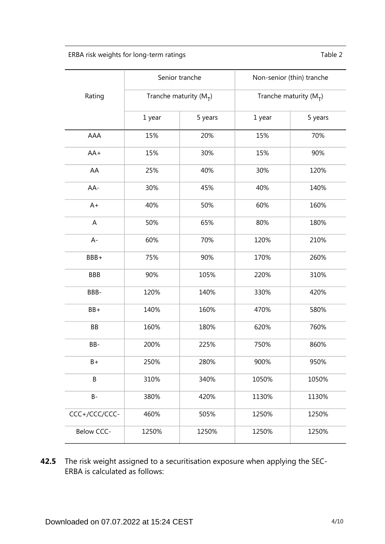ERBA risk weights for long-term ratings Table 2

|               | Senior tranche           |         | Non-senior (thin) tranche |         |
|---------------|--------------------------|---------|---------------------------|---------|
| Rating        | Tranche maturity $(M_T)$ |         | Tranche maturity $(M_T)$  |         |
|               | 1 year                   | 5 years | 1 year                    | 5 years |
| AAA           | 15%                      | 20%     | 15%                       | 70%     |
| $AA+$         | 15%                      | 30%     | 15%                       | 90%     |
| AA            | 25%                      | 40%     | 30%                       | 120%    |
| AA-           | 30%                      | 45%     | 40%                       | 140%    |
| $A+$          | 40%                      | 50%     | 60%                       | 160%    |
| A             | 50%                      | 65%     | 80%                       | 180%    |
| $A -$         | 60%                      | 70%     | 120%                      | 210%    |
| BBB+          | 75%                      | 90%     | 170%                      | 260%    |
| <b>BBB</b>    | 90%                      | 105%    | 220%                      | 310%    |
| BBB-          | 120%                     | 140%    | 330%                      | 420%    |
| $BB+$         | 140%                     | 160%    | 470%                      | 580%    |
| BB            | 160%                     | 180%    | 620%                      | 760%    |
| BB-           | 200%                     | 225%    | 750%                      | 860%    |
| B+            | 250%                     | 280%    | 900%                      | 950%    |
| B             | 310%                     | 340%    | 1050%                     | 1050%   |
| <b>B-</b>     | 380%                     | 420%    | 1130%                     | 1130%   |
| CCC+/CCC/CCC- | 460%                     | 505%    | 1250%                     | 1250%   |
| Below CCC-    | 1250%                    | 1250%   | 1250%                     | 1250%   |

**42.5** The risk weight assigned to a securitisation exposure when applying the SEC-ERBA is calculated as follows: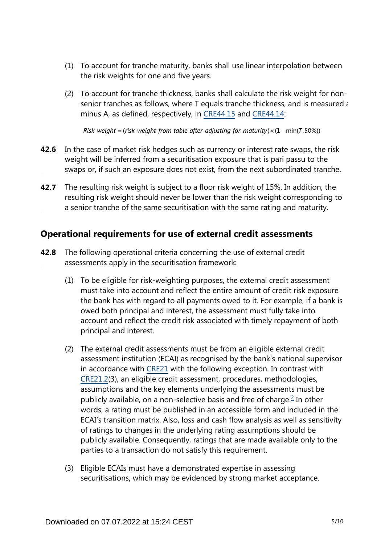- (1) To account for tranche maturity, banks shall use linear interpolation between the risk weights for one and five years.
- (2) To account for tranche thickness, banks shall calculate the risk weight for nonsenior tranches as follows, where T equals tranche thickness, and is measured as minus A, as defined, respectively, in [CRE44.15](https://www.bis.org/basel_framework/chapter/CRE/44.htm?tldate=20230101&inforce=20230101&published=20200327#paragraph_CRE_44_20230101_44_15) and [CRE44.14:](https://www.bis.org/basel_framework/chapter/CRE/44.htm?tldate=20230101&inforce=20230101&published=20200327#paragraph_CRE_44_20230101_44_14)

Risk weight = (risk weight from table after adjusting for maturity)  $\times$  (1 – min(T,50%))

- **42.6** In the case of market risk hedges such as currency or interest rate swaps, the risk weight will be inferred from a securitisation exposure that is pari passu to the swaps or, if such an exposure does not exist, from the next subordinated tranche.
- The resulting risk weight is subject to a floor risk weight of 15%. In addition, the resulting risk weight should never be lower than the risk weight corresponding to a senior tranche of the same securitisation with the same rating and maturity. **42.7**

### **Operational requirements for use of external credit assessments**

- <span id="page-4-0"></span>The following operational criteria concerning the use of external credit assessments apply in the securitisation framework: **42.8**
	- (1) To be eligible for risk-weighting purposes, the external credit assessment must take into account and reflect the entire amount of credit risk exposure the bank has with regard to all payments owed to it. For example, if a bank is owed both principal and interest, the assessment must fully take into account and reflect the credit risk associated with timely repayment of both principal and interest.
	- (2) The external credit assessments must be from an eligible external credit assessment institution (ECAI) as recognised by the bank's national supervisor in accordance with [CRE21](https://www.bis.org/basel_framework/chapter/CRE/21.htm?tldate=20230101&inforce=20230101&published=20200327) with the following exception. In contrast with [CRE21.2](https://www.bis.org/basel_framework/chapter/CRE/21.htm?tldate=20230101&inforce=20230101&published=20200327#paragraph_CRE_21_20230101_21_2)(3), an eligible credit assessment, procedures, methodologies, assumptions and the key elements underlying the assessments must be publicly available, on a non-selective basis and free of charge. $\stackrel{?}{=}$  In other words, a rating must be published in an accessible form and included in the ECAI's transition matrix. Also, loss and cash flow analysis as well as sensitivity of ratings to changes in the underlying rating assumptions should be publicly available. Consequently, ratings that are made available only to the parties to a transaction do not satisfy this requirement.
	- (3) Eligible ECAIs must have a demonstrated expertise in assessing securitisations, which may be evidenced by strong market acceptance.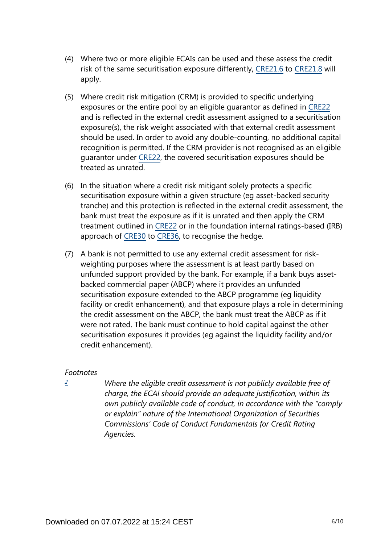- (4) Where two or more eligible ECAIs can be used and these assess the credit risk of the same securitisation exposure differently, [CRE21.6](https://www.bis.org/basel_framework/chapter/CRE/21.htm?tldate=20230101&inforce=20230101&published=20200327#paragraph_CRE_21_20230101_21_6) to [CRE21.8](https://www.bis.org/basel_framework/chapter/CRE/21.htm?tldate=20230101&inforce=20230101&published=20200327#paragraph_CRE_21_20230101_21_8) will apply.
- (5) Where credit risk mitigation (CRM) is provided to specific underlying exposures or the entire pool by an eligible guarantor as defined in [CRE22](https://www.bis.org/basel_framework/chapter/CRE/22.htm?tldate=20230101&inforce=20230101&published=20201126) and is reflected in the external credit assessment assigned to a securitisation exposure(s), the risk weight associated with that external credit assessment should be used. In order to avoid any double-counting, no additional capital recognition is permitted. If the CRM provider is not recognised as an eligible guarantor under [CRE22](https://www.bis.org/basel_framework/chapter/CRE/22.htm?tldate=20230101&inforce=20230101&published=20201126), the covered securitisation exposures should be treated as unrated.
- (6) In the situation where a credit risk mitigant solely protects a specific securitisation exposure within a given structure (eg asset-backed security tranche) and this protection is reflected in the external credit assessment, the bank must treat the exposure as if it is unrated and then apply the CRM treatment outlined in [CRE22](https://www.bis.org/basel_framework/chapter/CRE/22.htm?tldate=20230101&inforce=20230101&published=20201126) or in the foundation internal ratings-based (IRB) approach of [CRE30](https://www.bis.org/basel_framework/chapter/CRE/30.htm?tldate=20230101&inforce=20230101&published=20200327) to [CRE36,](https://www.bis.org/basel_framework/chapter/CRE/36.htm?tldate=20230101&inforce=20230101&published=20200327) to recognise the hedge.
- (7) A bank is not permitted to use any external credit assessment for riskweighting purposes where the assessment is at least partly based on unfunded support provided by the bank. For example, if a bank buys assetbacked commercial paper (ABCP) where it provides an unfunded securitisation exposure extended to the ABCP programme (eg liquidity facility or credit enhancement), and that exposure plays a role in determining the credit assessment on the ABCP, the bank must treat the ABCP as if it were not rated. The bank must continue to hold capital against the other securitisation exposures it provides (eg against the liquidity facility and/or credit enhancement).

#### *Footnotes*

<span id="page-5-0"></span>*[2](#page-4-0)*

*Where the eligible credit assessment is not publicly available free of charge, the ECAI should provide an adequate justification, within its own publicly available code of conduct, in accordance with the "comply or explain" nature of the International Organization of Securities Commissions' Code of Conduct Fundamentals for Credit Rating Agencies.*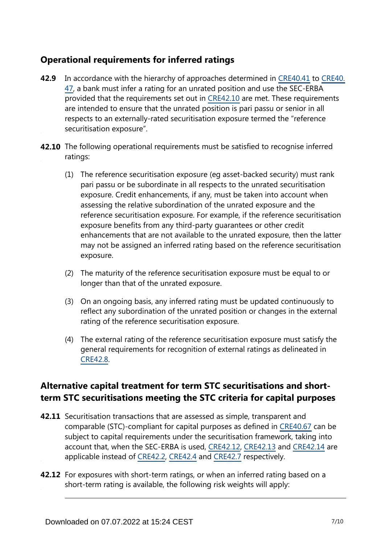## **Operational requirements for inferred ratings**

- **42.9** In accordance with the hierarchy of approaches determined in [CRE40.41](https://www.bis.org/basel_framework/chapter/CRE/40.htm?tldate=20230101&inforce=20230101&published=20201126#paragraph_CRE_40_20230101_40_41) to [CRE40.](https://www.bis.org/basel_framework/chapter/CRE/40.htm?tldate=20230101&inforce=20230101&published=20201126#paragraph_CRE_40_20230101_40_47) [47](https://www.bis.org/basel_framework/chapter/CRE/40.htm?tldate=20230101&inforce=20230101&published=20201126#paragraph_CRE_40_20230101_40_47), a bank must infer a rating for an unrated position and use the SEC-ERBA provided that the requirements set out in [CRE42.10](https://www.bis.org/basel_framework/chapter/CRE/42.htm?tldate=20230101&inforce=20191215&published=20191215#paragraph_CRE_42_20191215_42_10) are met. These requirements are intended to ensure that the unrated position is pari passu or senior in all respects to an externally-rated securitisation exposure termed the "reference securitisation exposure".
- **42.10** The following operational requirements must be satisfied to recognise inferred ratings:
	- (1) The reference securitisation exposure (eg asset-backed security) must rank pari passu or be subordinate in all respects to the unrated securitisation exposure. Credit enhancements, if any, must be taken into account when assessing the relative subordination of the unrated exposure and the reference securitisation exposure. For example, if the reference securitisation exposure benefits from any third-party guarantees or other credit enhancements that are not available to the unrated exposure, then the latter may not be assigned an inferred rating based on the reference securitisation exposure.
	- (2) The maturity of the reference securitisation exposure must be equal to or longer than that of the unrated exposure.
	- (3) On an ongoing basis, any inferred rating must be updated continuously to reflect any subordination of the unrated position or changes in the external rating of the reference securitisation exposure.
	- (4) The external rating of the reference securitisation exposure must satisfy the general requirements for recognition of external ratings as delineated in [CRE42.8](https://www.bis.org/basel_framework/chapter/CRE/42.htm?tldate=20230101&inforce=20191215&published=20191215#paragraph_CRE_42_20191215_42_8).

## **Alternative capital treatment for term STC securitisations and shortterm STC securitisations meeting the STC criteria for capital purposes**

- **42.11** Securitisation transactions that are assessed as simple, transparent and comparable (STC)-compliant for capital purposes as defined in [CRE40.67](https://www.bis.org/basel_framework/chapter/CRE/40.htm?tldate=20230101&inforce=20230101&published=20201126#paragraph_CRE_40_20230101_40_67) can be subject to capital requirements under the securitisation framework, taking into account that, when the SEC-ERBA is used, [CRE42.12,](https://www.bis.org/basel_framework/chapter/CRE/42.htm?tldate=20230101&inforce=20191215&published=20191215#paragraph_CRE_42_20191215_42_12) [CRE42.13](https://www.bis.org/basel_framework/chapter/CRE/42.htm?tldate=20230101&inforce=20191215&published=20191215#paragraph_CRE_42_20191215_42_13) and [CRE42.14](https://www.bis.org/basel_framework/chapter/CRE/42.htm?tldate=20230101&inforce=20191215&published=20191215#paragraph_CRE_42_20191215_42_14) are applicable instead of [CRE42.2,](https://www.bis.org/basel_framework/chapter/CRE/42.htm?tldate=20230101&inforce=20191215&published=20191215#paragraph_CRE_42_20191215_42_2) [CRE42.4](https://www.bis.org/basel_framework/chapter/CRE/42.htm?tldate=20230101&inforce=20191215&published=20191215#paragraph_CRE_42_20191215_42_4) and [CRE42.7](https://www.bis.org/basel_framework/chapter/CRE/42.htm?tldate=20230101&inforce=20191215&published=20191215#paragraph_CRE_42_20191215_42_7) respectively.
- **42.12** For exposures with short-term ratings, or when an inferred rating based on a short-term rating is available, the following risk weights will apply: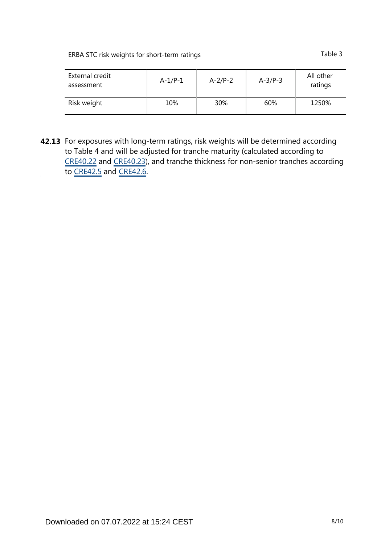| ERBA STC risk weights for short-term ratings | Table 3 |
|----------------------------------------------|---------|
|                                              |         |

| External credit<br>assessment | $A-1/P-1$ | $A-2/P-2$ | $A-3/P-3$ | All other<br>ratings |
|-------------------------------|-----------|-----------|-----------|----------------------|
| Risk weight                   | 10%       | 30%       | 60%       | 1250%                |

**42.13** For exposures with long-term ratings, risk weights will be determined according to Table 4 and will be adjusted for tranche maturity (calculated according to [CRE40.22](https://www.bis.org/basel_framework/chapter/CRE/40.htm?tldate=20230101&inforce=20230101&published=20201126#paragraph_CRE_40_20230101_40_22) and [CRE40.23](https://www.bis.org/basel_framework/chapter/CRE/40.htm?tldate=20230101&inforce=20230101&published=20201126#paragraph_CRE_40_20230101_40_23)), and tranche thickness for non-senior tranches according to [CRE42.5](https://www.bis.org/basel_framework/chapter/CRE/42.htm?tldate=20230101&inforce=20191215&published=20191215#paragraph_CRE_42_20191215_42_5) and [CRE42.6](https://www.bis.org/basel_framework/chapter/CRE/42.htm?tldate=20230101&inforce=20191215&published=20191215#paragraph_CRE_42_20191215_42_6).